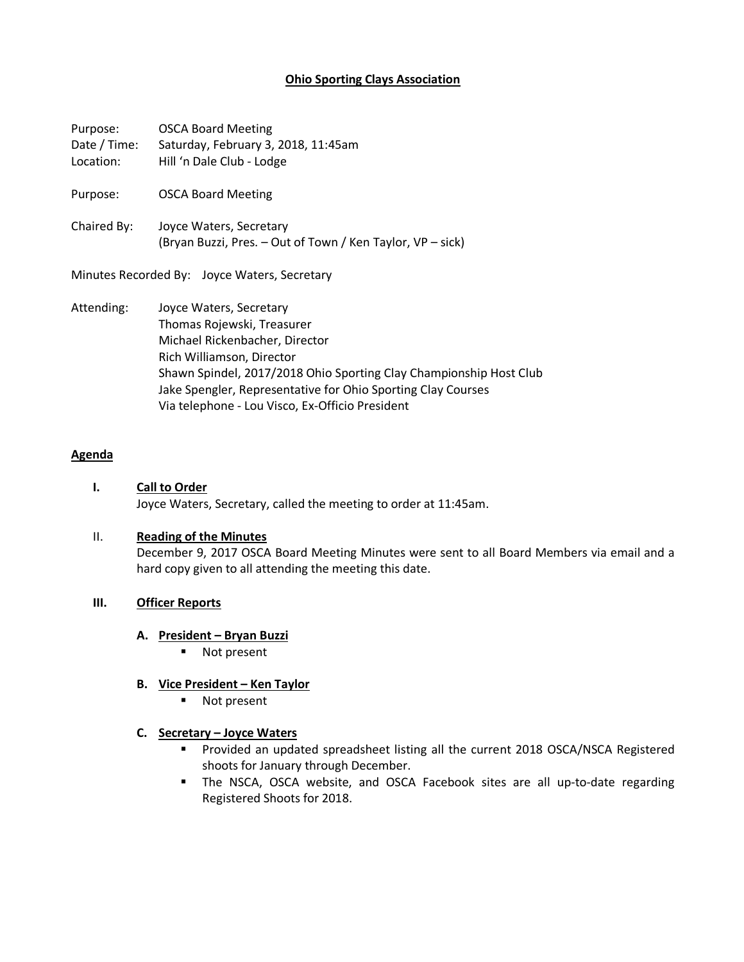# **Ohio Sporting Clays Association**

| Purpose:<br>Date / Time:<br>Location:        | <b>OSCA Board Meeting</b><br>Saturday, February 3, 2018, 11:45am<br>Hill 'n Dale Club - Lodge                                                                                                                                                                                                                 |
|----------------------------------------------|---------------------------------------------------------------------------------------------------------------------------------------------------------------------------------------------------------------------------------------------------------------------------------------------------------------|
| Purpose:                                     | <b>OSCA Board Meeting</b>                                                                                                                                                                                                                                                                                     |
| Chaired By:                                  | Joyce Waters, Secretary<br>(Bryan Buzzi, Pres. - Out of Town / Ken Taylor, VP - sick)                                                                                                                                                                                                                         |
| Minutes Recorded By: Joyce Waters, Secretary |                                                                                                                                                                                                                                                                                                               |
| Attending:                                   | Joyce Waters, Secretary<br>Thomas Rojewski, Treasurer<br>Michael Rickenbacher, Director<br>Rich Williamson, Director<br>Shawn Spindel, 2017/2018 Ohio Sporting Clay Championship Host Club<br>Jake Spengler, Representative for Ohio Sporting Clay Courses<br>Via telephone - Lou Visco, Ex-Officio President |

#### **Agenda**

**I. Call to Order** Joyce Waters, Secretary, called the meeting to order at 11:45am.

#### II. **Reading of the Minutes**

December 9, 2017 OSCA Board Meeting Minutes were sent to all Board Members via email and a hard copy given to all attending the meeting this date.

### **III. Officer Reports**

#### **A. President – Bryan Buzzi**

■ Not present

## **B. Vice President – Ken Taylor**

■ Not present

## **C. Secretary – Joyce Waters**

- § Provided an updated spreadsheet listing all the current 2018 OSCA/NSCA Registered shoots for January through December.
- § The NSCA, OSCA website, and OSCA Facebook sites are all up-to-date regarding Registered Shoots for 2018.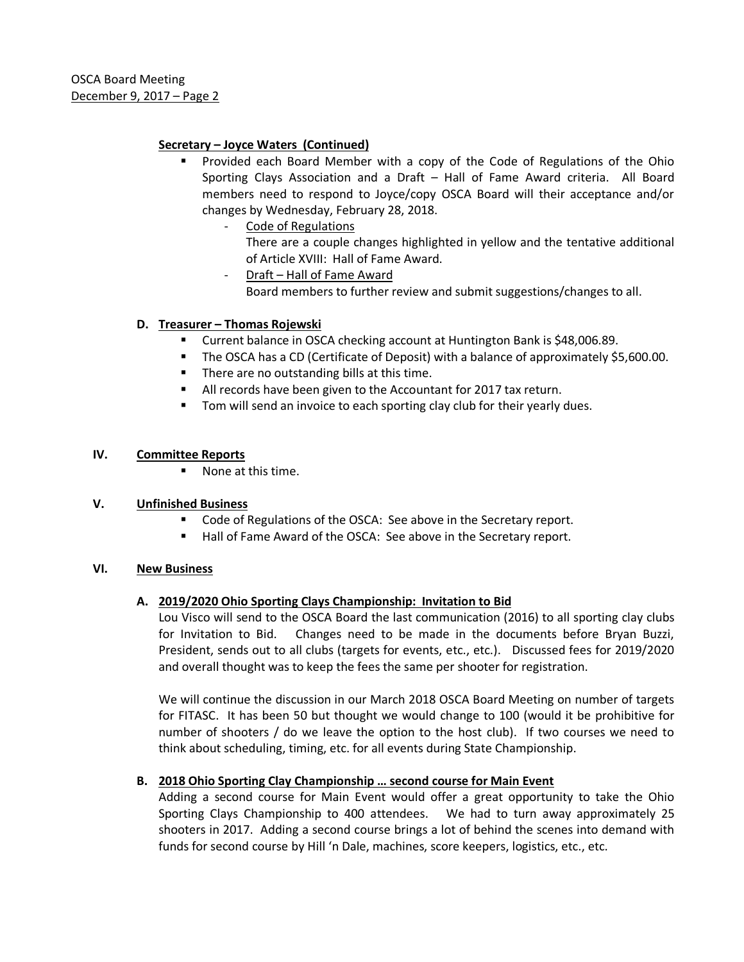# **Secretary – Joyce Waters (Continued)**

- § Provided each Board Member with a copy of the Code of Regulations of the Ohio Sporting Clays Association and a Draft – Hall of Fame Award criteria. All Board members need to respond to Joyce/copy OSCA Board will their acceptance and/or changes by Wednesday, February 28, 2018.
	- Code of Regulations There are a couple changes highlighted in yellow and the tentative additional of Article XVIII: Hall of Fame Award.
	- Draft Hall of Fame Award Board members to further review and submit suggestions/changes to all.

# **D. Treasurer – Thomas Rojewski**

- Current balance in OSCA checking account at Huntington Bank is \$48,006.89.
- The OSCA has a CD (Certificate of Deposit) with a balance of approximately \$5,600.00.
- There are no outstanding bills at this time.
- All records have been given to the Accountant for 2017 tax return.
- Tom will send an invoice to each sporting clay club for their yearly dues.

## **IV. Committee Reports**

■ None at this time.

## **V. Unfinished Business**

- Code of Regulations of the OSCA: See above in the Secretary report.
- Hall of Fame Award of the OSCA: See above in the Secretary report.

## **VI. New Business**

## **A. 2019/2020 Ohio Sporting Clays Championship: Invitation to Bid**

Lou Visco will send to the OSCA Board the last communication (2016) to all sporting clay clubs for Invitation to Bid. Changes need to be made in the documents before Bryan Buzzi, President, sends out to all clubs (targets for events, etc., etc.). Discussed fees for 2019/2020 and overall thought was to keep the fees the same per shooter for registration.

We will continue the discussion in our March 2018 OSCA Board Meeting on number of targets for FITASC. It has been 50 but thought we would change to 100 (would it be prohibitive for number of shooters / do we leave the option to the host club). If two courses we need to think about scheduling, timing, etc. for all events during State Championship.

## **B. 2018 Ohio Sporting Clay Championship … second course for Main Event**

Adding a second course for Main Event would offer a great opportunity to take the Ohio Sporting Clays Championship to 400 attendees. We had to turn away approximately 25 shooters in 2017. Adding a second course brings a lot of behind the scenes into demand with funds for second course by Hill 'n Dale, machines, score keepers, logistics, etc., etc.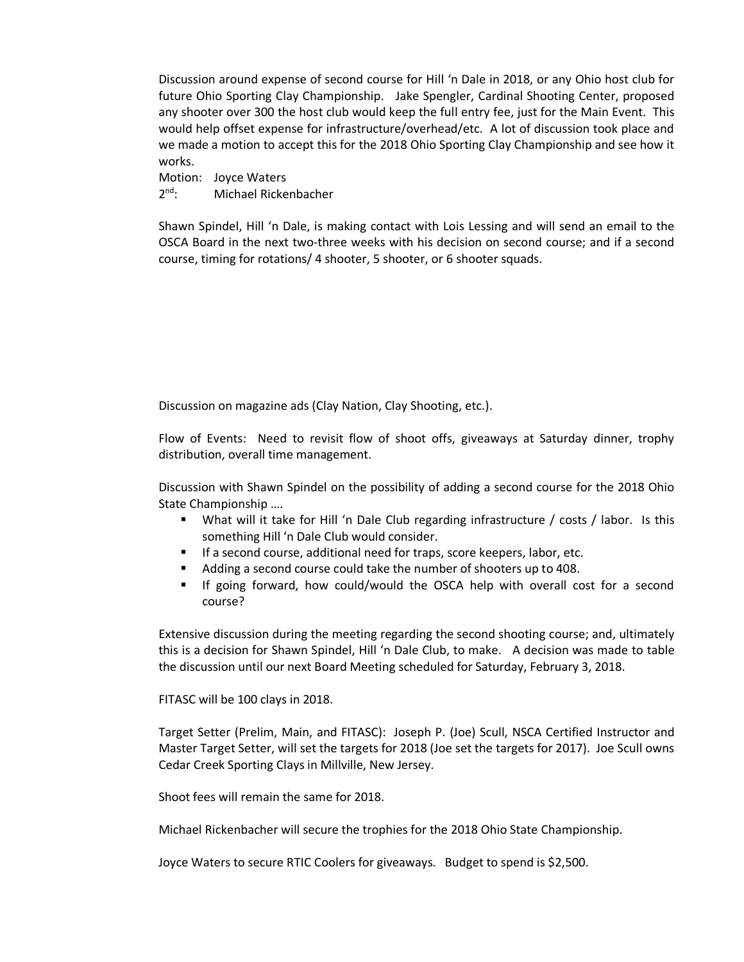Discussion around expense of second course for Hill 'n Dale in 2018, or any Ohio host club for future Ohio Sporting Clay Championship. Jake Spengler, Cardinal Shooting Center, proposed any shooter over 300 the host club would keep the full entry fee, just for the Main Event. This would help offset expense for infrastructure/overhead/etc. A lot of discussion took place and we made a motion to accept this for the 2018 Ohio Sporting Clay Championship and see how it works.

Motion: Joyce Waters 2<sup>nd</sup>: Michael Rickenbacher

Shawn Spindel, Hill 'n Dale, is making contact with Lois Lessing and will send an email to the OSCA Board in the next two-three weeks with his decision on second course; and if a second course, timing for rotations/ 4 shooter, 5 shooter, or 6 shooter squads.

Discussion on magazine ads (Clay Nation, Clay Shooting, etc.).

Flow of Events: Need to revisit flow of shoot offs, giveaways at Saturday dinner, trophy distribution, overall time management.

Discussion with Shawn Spindel on the possibility of adding a second course for the 2018 Ohio State Championship ….

- § What will it take for Hill 'n Dale Club regarding infrastructure / costs / labor. Is this something Hill 'n Dale Club would consider.
- If a second course, additional need for traps, score keepers, labor, etc.
- Adding a second course could take the number of shooters up to 408.
- If going forward, how could/would the OSCA help with overall cost for a second course?

Extensive discussion during the meeting regarding the second shooting course; and, ultimately this is a decision for Shawn Spindel, Hill 'n Dale Club, to make. A decision was made to table the discussion until our next Board Meeting scheduled for Saturday, February 3, 2018.

FITASC will be 100 clays in 2018.

Target Setter (Prelim, Main, and FITASC): Joseph P. (Joe) Scull, NSCA Certified Instructor and Master Target Setter, will set the targets for 2018 (Joe set the targets for 2017). Joe Scull owns Cedar Creek Sporting Clays in Millville, New Jersey.

Shoot fees will remain the same for 2018.

Michael Rickenbacher will secure the trophies for the 2018 Ohio State Championship.

Joyce Waters to secure RTIC Coolers for giveaways. Budget to spend is \$2,500.